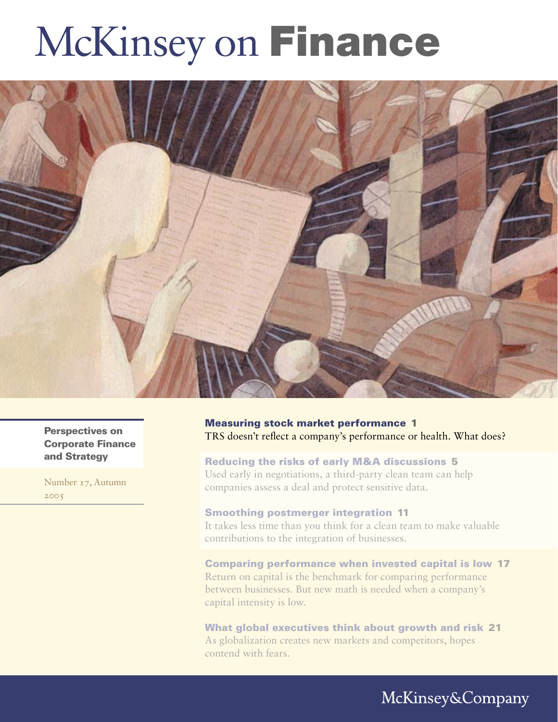# McKinsey on Finance



Perspectives on Corporate Finance and Strategy

Number 17, Autumn 2005

Measuring stock market performance 1 TRS doesn't reflect a company's performance or health. What does?

Reducing the risks of early M&A discussions 5 Used early in negotiations, a third-party clean team can help companies assess a deal and protect sensitive data.

# Smoothing postmerger integration 11

It takes less time than you think for a clean team to make valuable contributions to the integration of businesses.

Comparing performance when invested capital is low 17 Return on capital is the benchmark for comparing performance between businesses. But new math is needed when a company's capital intensity is low.

What global executives think about growth and risk 21 As globalization creates new markets and competitors, hopes contend with fears.

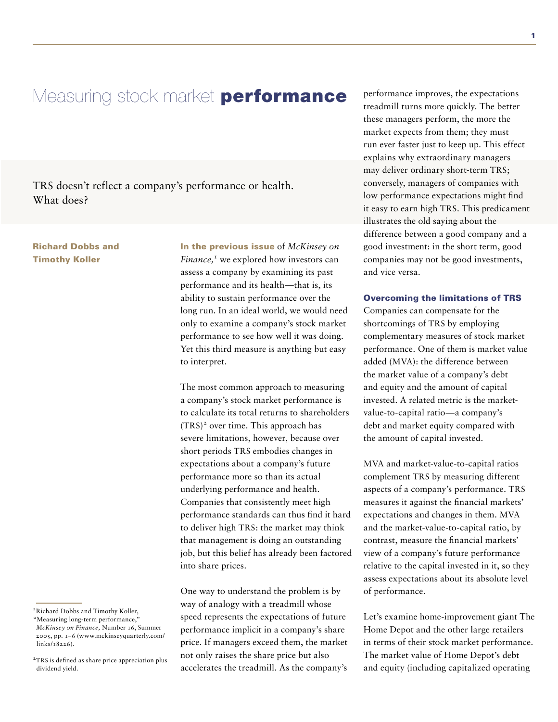# Measuring stock market **performance**

TRS doesn't reflect a company's performance or health. What does?

# Richard Dobbs and Timothy Koller

In the previous issue of *McKinsey on*  Finance,<sup>1</sup> we explored how investors can assess a company by examining its past performance and its health—that is, its ability to sustain performance over the long run. In an ideal world, we would need only to examine a company's stock market performance to see how well it was doing. Yet this third measure is anything but easy to interpret.

The most common approach to measuring a company's stock market performance is to calculate its total returns to shareholders (TRS) 2 over time. This approach has severe limitations, however, because over short periods TRS embodies changes in expectations about a company's future performance more so than its actual underlying performance and health. Companies that consistently meet high performance standards can thus find it hard to deliver high TRS: the market may think that management is doing an outstanding job, but this belief has already been factored into share prices.

One way to understand the problem is by way of analogy with a treadmill whose speed represents the expectations of future performance implicit in a company's share price. If managers exceed them, the market not only raises the share price but also accelerates the treadmill. As the company's

performance improves, the expectations treadmill turns more quickly. The better these managers perform, the more the market expects from them; they must run ever faster just to keep up. This effect explains why extraordinary managers may deliver ordinary short-term TRS; conversely, managers of companies with low performance expectations might find it easy to earn high TRS. This predicament illustrates the old saying about the difference between a good company and a good investment: in the short term, good companies may not be good investments, and vice versa.

### Overcoming the limitations of TRS

Companies can compensate for the shortcomings of TRS by employing complementary measures of stock market performance. One of them is market value added (MVA): the difference between the market value of a company's debt and equity and the amount of capital invested. A related metric is the marketvalue-to-capital ratio—a company's debt and market equity compared with the amount of capital invested.

MVA and market-value-to-capital ratios complement TRS by measuring different aspects of a company's performance. TRS measures it against the financial markets' expectations and changes in them. MVA and the market-value-to-capital ratio, by contrast, measure the financial markets' view of a company's future performance relative to the capital invested in it, so they assess expectations about its absolute level of performance.

Let's examine home-improvement giant The Home Depot and the other large retailers in terms of their stock market performance. The market value of Home Depot's debt and equity (including capitalized operating

<sup>&</sup>lt;sup>1</sup> Richard Dobbs and Timothy Koller,

<sup>&</sup>quot;Measuring long-term performance," *McKinsey on Finance,* Number 16, Summer 2005, pp. 1–6 (www.mckinseyquarterly.com/ links/18226).

<sup>&</sup>lt;sup>2</sup>TRS is defined as share price appreciation plus dividend yield.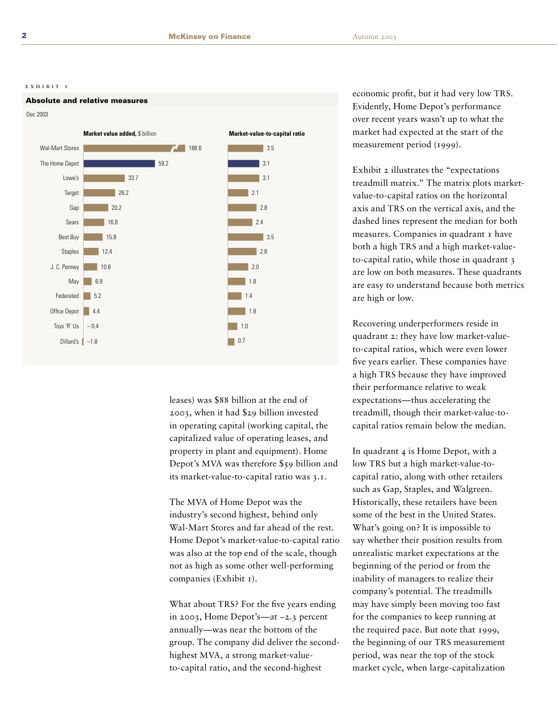#### EXHIBIT 1



leases) was \$88 billion at the end of 2003, when it had \$29 billion invested in operating capital (working capital, the capitalized value of operating leases, and property in plant and equipment). Home Depot's MVA was therefore \$59 billion and its market-value-to-capital ratio was 3.1.

The MVA of Home Depot was the industry's second highest, behind only Wal-Mart Stores and far ahead of the rest. Home Depot's market-value-to-capital ratio was also at the top end of the scale, though not as high as some other well-performing companies (Exhibit 1).

What about TRS? For the five years ending in 2003, Home Depot's-at -2.3 percent annually-was near the bottom of the group. The company did deliver the secondhighest MVA, a strong market-valueto-capital ratio, and the second-highest

economic profit, but it had very low TRS. Evidently, Home Depot's performance over recent years wasn't up to what the market had expected at the start of the measurement period (1999).

Exhibit 2 illustrates the "expectations treadmill matrix." The matrix plots marketvalue-to-capital ratios on the horizontal axis and TRS on the vertical axis, and the dashed lines represent the median for both measures. Companies in quadrant I have both a high TRS and a high market-valueto-capital ratio, while those in quadrant 3 are low on both measures. These quadrants are easy to understand because both metrics are high or low.

Recovering underperformers reside in quadrant 2: they have low market-valueto-capital ratios, which were even lower five years earlier. These companies have a high TRS because they have improved their performance relative to weak expectations—thus accelerating the treadmill, though their market-value-tocapital ratios remain below the median.

In quadrant 4 is Home Depot, with a low TRS but a high market-value-tocapital ratio, along with other retailers such as Gap, Staples, and Walgreen. Historically, these retailers have been some of the best in the United States. What's going on? It is impossible to say whether their position results from unrealistic market expectations at the beginning of the period or from the inability of managers to realize their company's potential. The treadmills may have simply been moving too fast for the companies to keep running at the required pace. But note that 1999, the beginning of our TRS measurement period, was near the top of the stock market cycle, when large-capitalization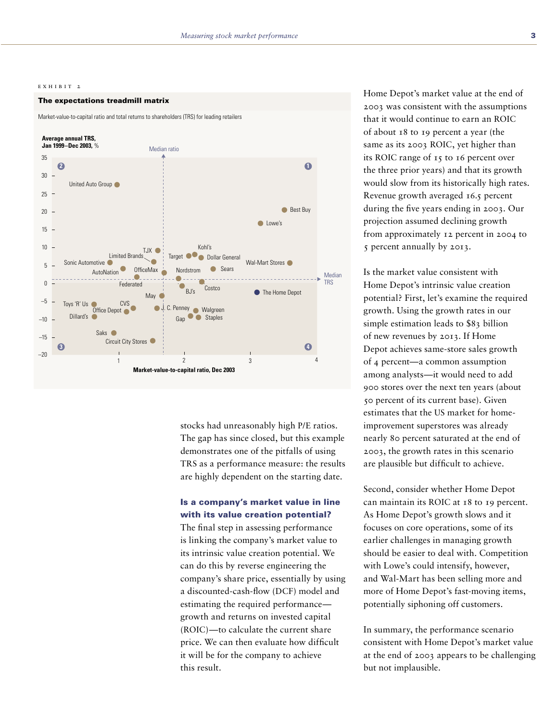#### EXHIBIT<sub>2</sub>

#### The expectations treadmill matrix

Market-value-to-capital ratio and total returns to shareholders (TRS) for leading retailers



stocks had unreasonably high P/E ratios. The gap has since closed, but this example demonstrates one of the pitfalls of using TRS as a performance measure: the results are highly dependent on the starting date.

## Is a company's market value in line with its value creation potential?

The final step in assessing performance is linking the company's market value to its intrinsic value creation potential. We can do this by reverse engineering the company's share price, essentially by using a discounted-cash-flow (DCF) model and estimating the required performance growth and returns on invested capital (ROIC)-to calculate the current share price. We can then evaluate how difficult it will be for the company to achieve this result.

Home Depot's market value at the end of 2003 was consistent with the assumptions that it would continue to earn an ROIC of about 18 to 19 percent a year (the same as its 2003 ROIC, yet higher than its ROIC range of 15 to 16 percent over the three prior years) and that its growth would slow from its historically high rates. Revenue growth averaged 16.5 percent during the five years ending in 2003. Our projection assumed declining growth from approximately 12 percent in 2004 to s percent annually by 2013.

Is the market value consistent with Home Depot's intrinsic value creation potential? First, let's examine the required growth. Using the growth rates in our simple estimation leads to \$83 billion of new revenues by 2013. If Home Depot achieves same-store sales growth of 4 percent-a common assumption among analysts—it would need to add 900 stores over the next ten years (about 50 percent of its current base). Given estimates that the US market for homeimprovement superstores was already nearly 80 percent saturated at the end of 2003, the growth rates in this scenario are plausible but difficult to achieve.

Second, consider whether Home Depot can maintain its ROIC at 18 to 19 percent. As Home Depot's growth slows and it focuses on core operations, some of its earlier challenges in managing growth should be easier to deal with. Competition with Lowe's could intensify, however, and Wal-Mart has been selling more and more of Home Depot's fast-moving items, potentially siphoning off customers.

In summary, the performance scenario consistent with Home Depot's market value at the end of 2003 appears to be challenging but not implausible.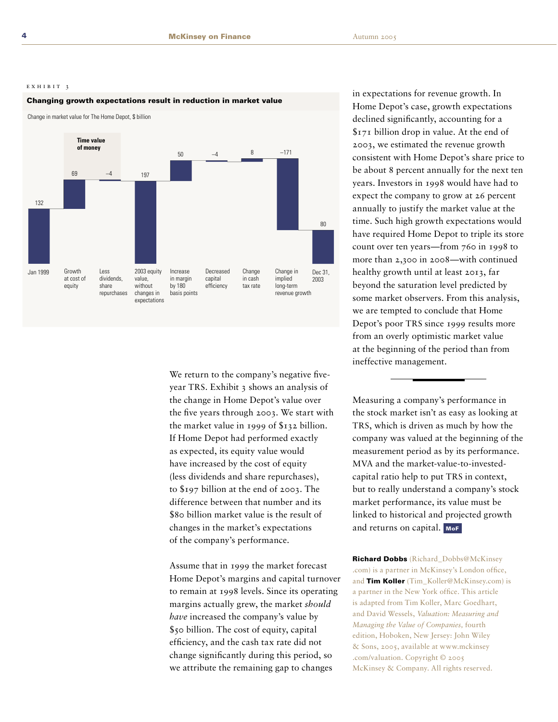#### $E X H I B I T 3$

#### Changing growth expectations result in reduction in market value

Change in market value for The Home Depot, \$ billion



We return to the company's negative fiveyear TRS. Exhibit 3 shows an analysis of the change in Home Depot's value over the five years through 2003. We start with the market value in 1999 of  $$132$  billion. If Home Depot had performed exactly as expected, its equity value would have increased by the cost of equity (less dividends and share repurchases), to \$197 billion at the end of 2003. The difference between that number and its \$80 billion market value is the result of changes in the market's expectations of the company's performance.

Assume that in 1999 the market forecast Home Depot's margins and capital turnover to remain at 1998 levels. Since its operating margins actually grew, the market should have increased the company's value by \$50 billion. The cost of equity, capital efficiency, and the cash tax rate did not change significantly during this period, so we attribute the remaining gap to changes

in expectations for revenue growth. In Home Depot's case, growth expectations declined significantly, accounting for a \$171 billion drop in value. At the end of 2003, we estimated the revenue growth consistent with Home Depot's share price to be about 8 percent annually for the next ten years. Investors in 1998 would have had to expect the company to grow at 26 percent annually to justify the market value at the time. Such high growth expectations would have required Home Depot to triple its store count over ten years—from 760 in 1998 to more than 2,300 in 2008—with continued healthy growth until at least 2013, far beyond the saturation level predicted by some market observers. From this analysis, we are tempted to conclude that Home Depot's poor TRS since 1999 results more from an overly optimistic market value at the beginning of the period than from ineffective management.

Measuring a company's performance in the stock market isn't as easy as looking at TRS, which is driven as much by how the company was valued at the beginning of the measurement period as by its performance. MVA and the market-value-to-investedcapital ratio help to put TRS in context, but to really understand a company's stock market performance, its value must be linked to historical and projected growth and returns on capital. MoF

**Richard Dobbs** (Richard Dobbs@McKinsey .com) is a partner in McKinsey's London office, and Tim Koller (Tim Koller@McKinsey.com) is a partner in the New York office. This article is adapted from Tim Koller, Marc Goedhart, and David Wessels, Valuation: Measuring and Managing the Value of Companies, fourth edition, Hoboken, New Jersey: John Wiley & Sons, 2005, available at www.mckinsey .com/valuation. Copyright © 2005 McKinsey & Company. All rights reserved.